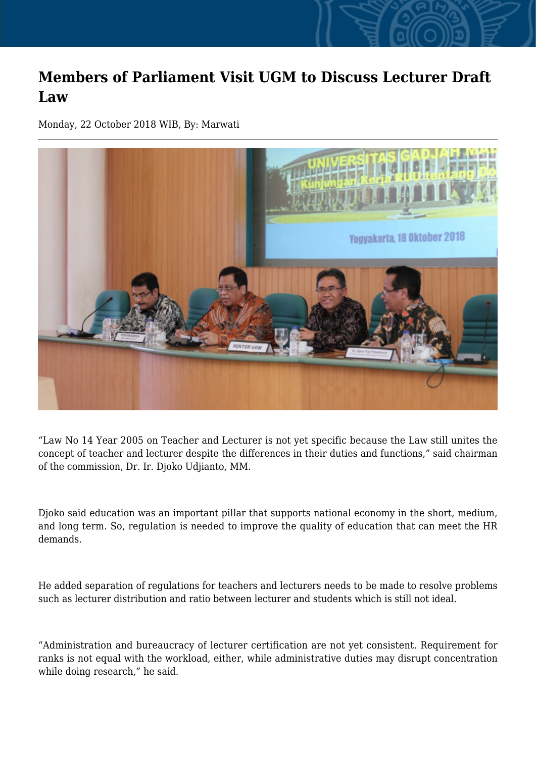## **Members of Parliament Visit UGM to Discuss Lecturer Draft Law**

Monday, 22 October 2018 WIB, By: Marwati



"Law No 14 Year 2005 on Teacher and Lecturer is not yet specific because the Law still unites the concept of teacher and lecturer despite the differences in their duties and functions," said chairman of the commission, Dr. Ir. Djoko Udjianto, MM.

Djoko said education was an important pillar that supports national economy in the short, medium, and long term. So, regulation is needed to improve the quality of education that can meet the HR demands.

He added separation of regulations for teachers and lecturers needs to be made to resolve problems such as lecturer distribution and ratio between lecturer and students which is still not ideal.

"Administration and bureaucracy of lecturer certification are not yet consistent. Requirement for ranks is not equal with the workload, either, while administrative duties may disrupt concentration while doing research," he said.